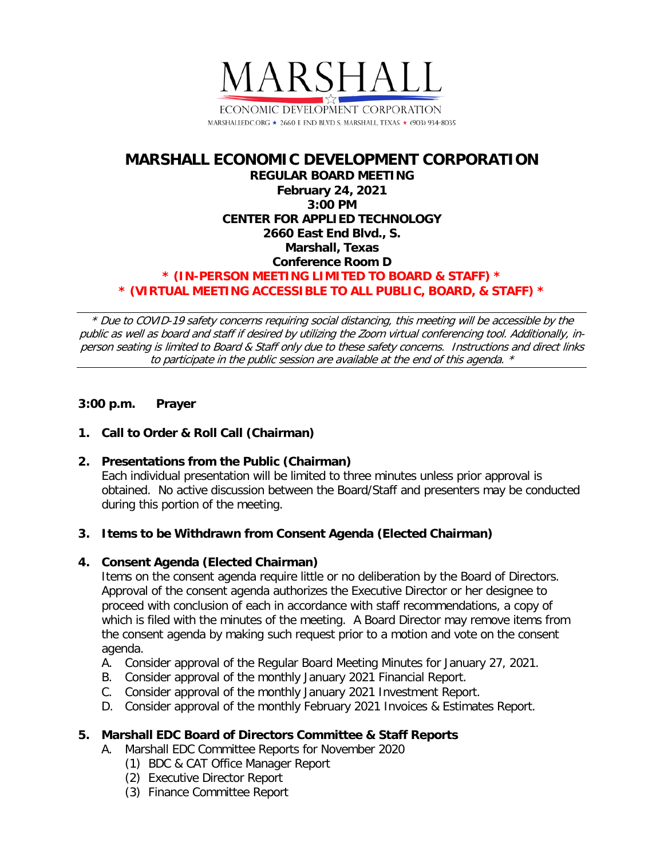

# **MARSHALL ECONOMIC DEVELOPMENT CORPORATION REGULAR BOARD MEETING February 24, 2021 3:00 PM CENTER FOR APPLIED TECHNOLOGY 2660 East End Blvd., S. Marshall, Texas Conference Room D \* (IN-PERSON MEETING LIMITED TO BOARD & STAFF) \* \* (VIRTUAL MEETING ACCESSIBLE TO ALL PUBLIC, BOARD, & STAFF) \***

\* Due to COVID-19 safety concerns requiring social distancing, this meeting will be accessible by the public as well as board and staff if desired by utilizing the Zoom virtual conferencing tool. Additionally, inperson seating is limited to Board & Staff only due to these safety concerns. Instructions and direct links to participate in the public session are available at the end of this agenda. \*

# **3:00 p.m. Prayer**

# **1. Call to Order & Roll Call (Chairman)**

**2. Presentations from the Public (Chairman)** Each individual presentation will be limited to three minutes unless prior approval is obtained. No active discussion between the Board/Staff and presenters may be conducted during this portion of the meeting.

### **3. Items to be Withdrawn from Consent Agenda (Elected Chairman)**

### **4. Consent Agenda (Elected Chairman)**

Items on the consent agenda require little or no deliberation by the Board of Directors. Approval of the consent agenda authorizes the Executive Director or her designee to proceed with conclusion of each in accordance with staff recommendations, a copy of which is filed with the minutes of the meeting. A Board Director may remove items from the consent agenda by making such request prior to a motion and vote on the consent agenda.

- A. Consider approval of the Regular Board Meeting Minutes for January 27, 2021.
- B. Consider approval of the monthly January 2021 Financial Report.
- C. Consider approval of the monthly January 2021 Investment Report.
- D. Consider approval of the monthly February 2021 Invoices & Estimates Report.

### **5. Marshall EDC Board of Directors Committee & Staff Reports**

- A. Marshall EDC Committee Reports for November 2020
	- (1) BDC & CAT Office Manager Report
	- (2) Executive Director Report
	- (3) Finance Committee Report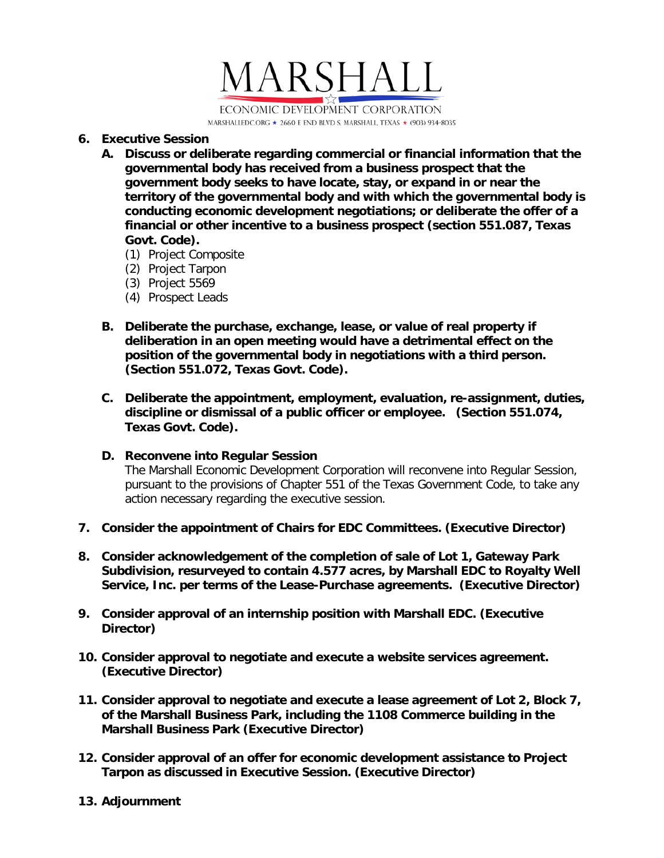

#### **6. Executive Session**

- **A. Discuss or deliberate regarding commercial or financial information that the governmental body has received from a business prospect that the government body seeks to have locate, stay, or expand in or near the territory of the governmental body and with which the governmental body is conducting economic development negotiations; or deliberate the offer of a financial or other incentive to a business prospect (section 551.087, Texas Govt. Code).**
	- (1) Project Composite
	- (2) Project Tarpon
	- (3) Project 5569
	- (4) Prospect Leads
- **B. Deliberate the purchase, exchange, lease, or value of real property if deliberation in an open meeting would have a detrimental effect on the position of the governmental body in negotiations with a third person. (Section 551.072, Texas Govt. Code).**
- **C. Deliberate the appointment, employment, evaluation, re-assignment, duties, discipline or dismissal of a public officer or employee. (Section 551.074, Texas Govt. Code).**
- **D. Reconvene into Regular Session**

The Marshall Economic Development Corporation will reconvene into Regular Session, pursuant to the provisions of Chapter 551 of the Texas Government Code, to take any action necessary regarding the executive session.

- **7. Consider the appointment of Chairs for EDC Committees. (Executive Director)**
- **8. Consider acknowledgement of the completion of sale of Lot 1, Gateway Park Subdivision, resurveyed to contain 4.577 acres, by Marshall EDC to Royalty Well Service, Inc. per terms of the Lease-Purchase agreements. (Executive Director)**
- **9. Consider approval of an internship position with Marshall EDC. (Executive Director)**
- **10. Consider approval to negotiate and execute a website services agreement. (Executive Director)**
- **11. Consider approval to negotiate and execute a lease agreement of Lot 2, Block 7, of the Marshall Business Park, including the 1108 Commerce building in the Marshall Business Park (Executive Director)**
- **12. Consider approval of an offer for economic development assistance to Project Tarpon as discussed in Executive Session. (Executive Director)**
- **13. Adjournment**